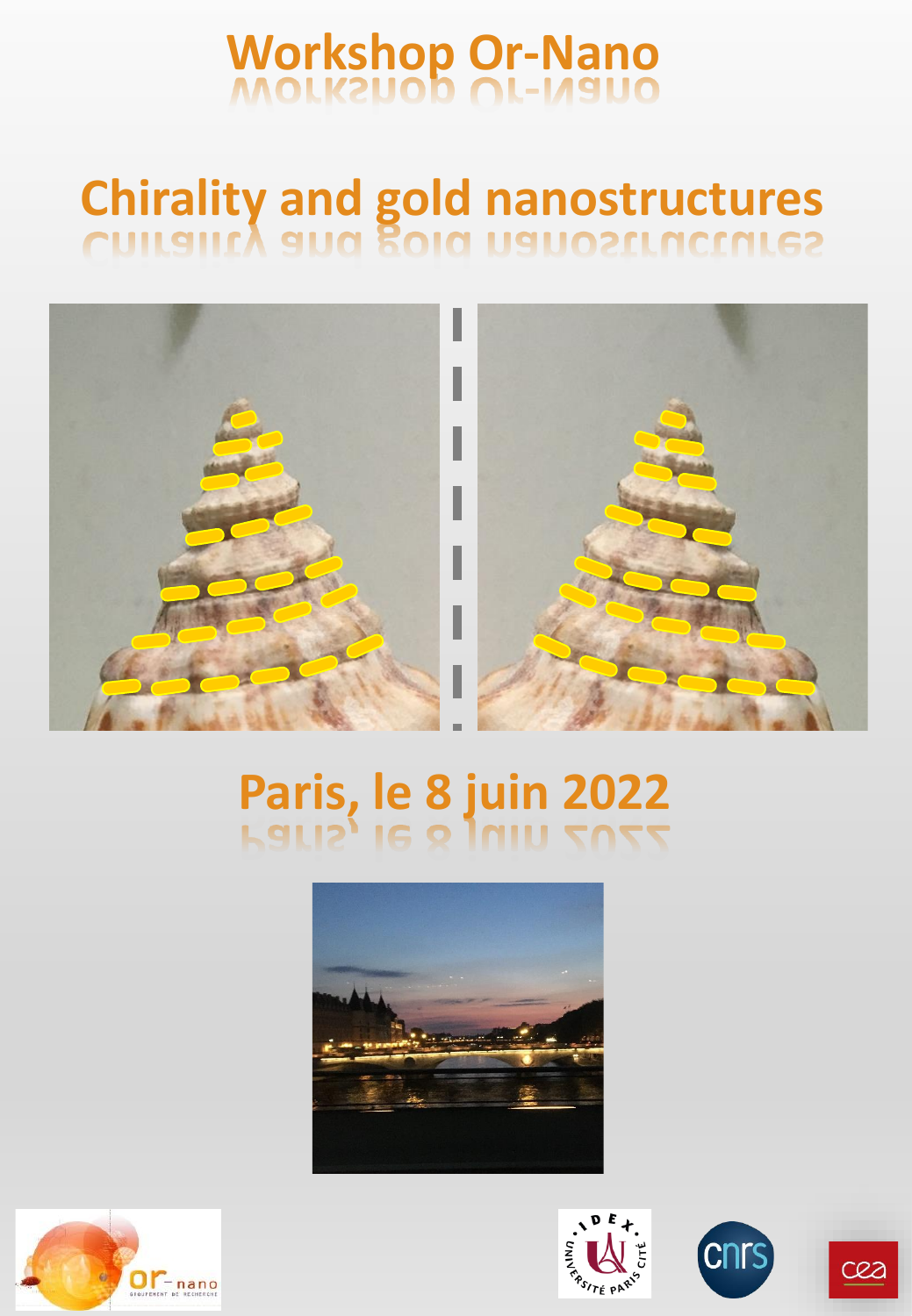# **Workshop Or-Nano**

# **Chirality and gold nanostructures**



# **Paris, le 8 juin 2022**